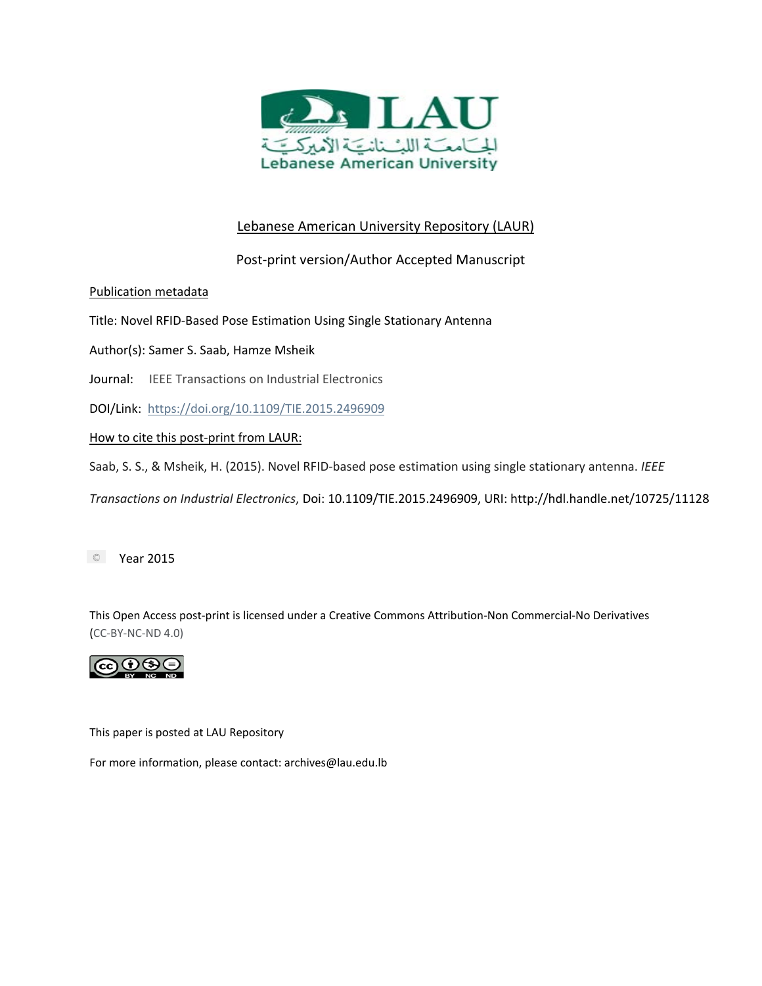

# Lebanese American University Repository (LAUR)

# Post-print version/Author Accepted Manuscript

Publication metadata

Title: Novel RFID-Based Pose Estimation Using Single Stationary Antenna

Author(s): Samer S. Saab, Hamze Msheik

Journal: IEEE Transactions on Industrial Electronics

DOI/Link: https://doi.org/10.1109/TIE.2015.2496909

# How to cite this post-print from LAUR:

Saab, S. S., & Msheik, H. (2015). Novel RFID-based pose estimation using single stationary antenna. *IEEE* 

*Transactions on Industrial Electronics*, Doi: 10.1109/TIE.2015.2496909[, URI: http://hdl.handle.net/10725/](https://doi.org/10.1109/TIE.2015.2496909)11128

**Example 2015** 

This Open Access post-print is licensed under a Creative Commons Attribution-Non Commercial-No Derivatives (CC-BY-NC-ND 4.0)



This paper is posted at LAU Repository

For more information, please contact: archives@lau.edu.lb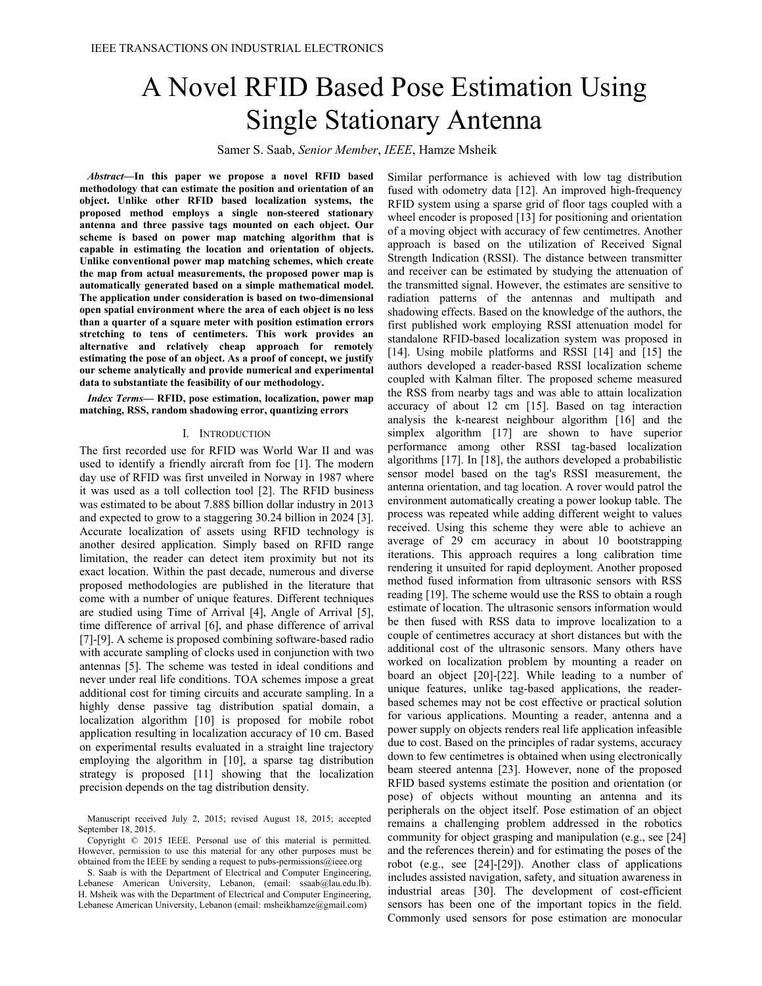# A Novel RFID Based Pose Estimation Using Single Stationary Antenna

Samer S. Saab, *Senior Member*, *IEEE*, Hamze Msheik

 *Abstract***—In this paper we propose a novel RFID based methodology that can estimate the position and orientation of an object. Unlike other RFID based localization systems, the proposed method employs a single non-steered stationary antenna and three passive tags mounted on each object. Our scheme is based on power map matching algorithm that is capable in estimating the location and orientation of objects. Unlike conventional power map matching schemes, which create the map from actual measurements, the proposed power map is automatically generated based on a simple mathematical model. The application under consideration is based on two-dimensional open spatial environment where the area of each object is no less than a quarter of a square meter with position estimation errors stretching to tens of centimeters. This work provides an alternative and relatively cheap approach for remotely estimating the pose of an object. As a proof of concept, we justify our scheme analytically and provide numerical and experimental data to substantiate the feasibility of our methodology.** 

 *Index Terms***— RFID, pose estimation, localization, power map matching, RSS, random shadowing error, quantizing errors** 

#### I. INTRODUCTION

The first recorded use for RFID was World War II and was used to identify a friendly aircraft from foe [1]. The modern day use of RFID was first unveiled in Norway in 1987 where it was used as a toll collection tool [2]. The RFID business was estimated to be about 7.88\$ billion dollar industry in 2013 and expected to grow to a staggering 30.24 billion in 2024 [3]. Accurate localization of assets using RFID technology is another desired application. Simply based on RFID range limitation, the reader can detect item proximity but not its exact location. Within the past decade, numerous and diverse proposed methodologies are published in the literature that come with a number of unique features. Different techniques are studied using Time of Arrival [4], Angle of Arrival [5], time difference of arrival [6], and phase difference of arrival [7]-[9]. A scheme is proposed combining software-based radio with accurate sampling of clocks used in conjunction with two antennas [5]. The scheme was tested in ideal conditions and never under real life conditions. TOA schemes impose a great additional cost for timing circuits and accurate sampling. In a highly dense passive tag distribution spatial domain, a localization algorithm [10] is proposed for mobile robot application resulting in localization accuracy of 10 cm. Based on experimental results evaluated in a straight line trajectory employing the algorithm in [10], a sparse tag distribution strategy is proposed [11] showing that the localization precision depends on the tag distribution density.

 Manuscript received July 2, 2015; revised August 18, 2015; accepted September 18, 2015.

 Copyright © 2015 IEEE. Personal use of this material is permitted. However, permission to use this material for any other purposes must be obtained from the IEEE by sending a request to pubs-permissions@ieee.org

 S. Saab is with the Department of Electrical and Computer Engineering, Lebanese American University, Lebanon, (email: ssaab@lau.edu.lb). H. Msheik was with the Department of Electrical and Computer Engineering, Lebanese American University, Lebanon (email: msheikhamze@gmail.com)

Similar performance is achieved with low tag distribution fused with odometry data [12]. An improved high-frequency RFID system using a sparse grid of floor tags coupled with a wheel encoder is proposed [13] for positioning and orientation of a moving object with accuracy of few centimetres. Another approach is based on the utilization of Received Signal Strength Indication (RSSI). The distance between transmitter and receiver can be estimated by studying the attenuation of the transmitted signal. However, the estimates are sensitive to radiation patterns of the antennas and multipath and shadowing effects. Based on the knowledge of the authors, the first published work employing RSSI attenuation model for standalone RFID-based localization system was proposed in [14]. Using mobile platforms and RSSI [14] and [15] the authors developed a reader-based RSSI localization scheme coupled with Kalman filter. The proposed scheme measured the RSS from nearby tags and was able to attain localization accuracy of about 12 cm [15]. Based on tag interaction analysis the k-nearest neighbour algorithm [16] and the simplex algorithm [17] are shown to have superior performance among other RSSI tag-based localization algorithms [17]. In [18], the authors developed a probabilistic sensor model based on the tag's RSSI measurement, the antenna orientation, and tag location. A rover would patrol the environment automatically creating a power lookup table. The process was repeated while adding different weight to values received. Using this scheme they were able to achieve an average of 29 cm accuracy in about 10 bootstrapping iterations. This approach requires a long calibration time rendering it unsuited for rapid deployment. Another proposed method fused information from ultrasonic sensors with RSS reading [19]. The scheme would use the RSS to obtain a rough estimate of location. The ultrasonic sensors information would be then fused with RSS data to improve localization to a couple of centimetres accuracy at short distances but with the additional cost of the ultrasonic sensors. Many others have worked on localization problem by mounting a reader on board an object [20]-[22]. While leading to a number of unique features, unlike tag-based applications, the readerbased schemes may not be cost effective or practical solution for various applications. Mounting a reader, antenna and a power supply on objects renders real life application infeasible due to cost. Based on the principles of radar systems, accuracy down to few centimetres is obtained when using electronically beam steered antenna [23]. However, none of the proposed RFID based systems estimate the position and orientation (or pose) of objects without mounting an antenna and its peripherals on the object itself. Pose estimation of an object remains a challenging problem addressed in the robotics community for object grasping and manipulation (e.g., see [24] and the references therein) and for estimating the poses of the robot (e.g., see [24]-[29]). Another class of applications includes assisted navigation, safety, and situation awareness in industrial areas [30]. The development of cost-efficient sensors has been one of the important topics in the field. Commonly used sensors for pose estimation are monocular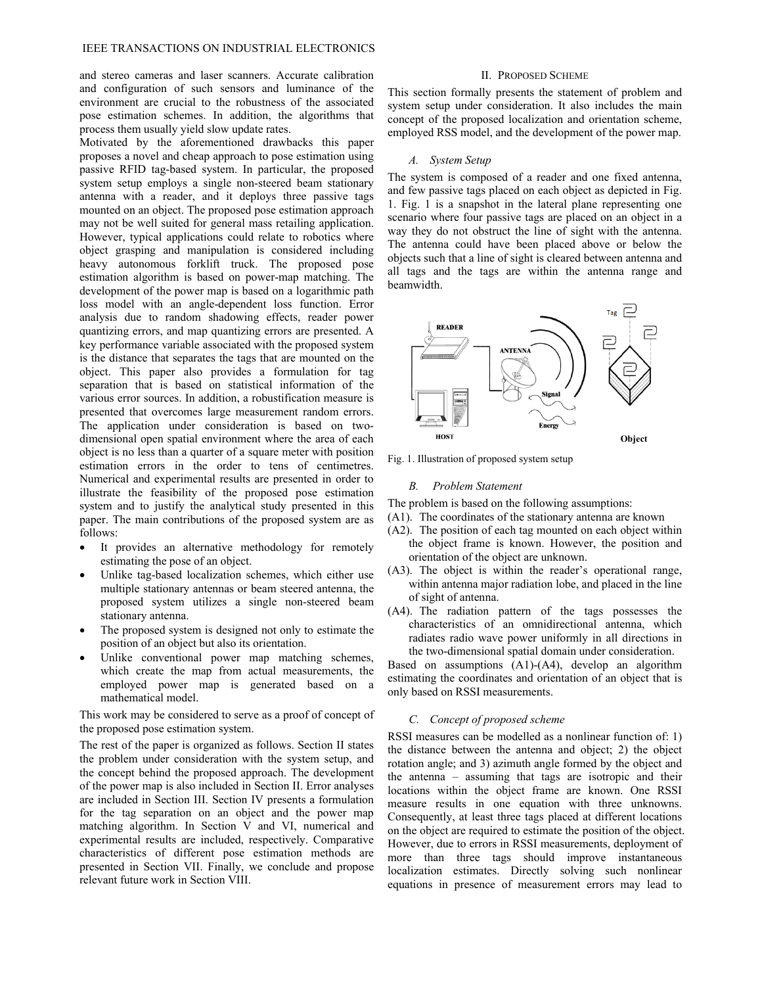and stereo cameras and laser scanners. Accurate calibration and configuration of such sensors and luminance of the environment are crucial to the robustness of the associated pose estimation schemes. In addition, the algorithms that process them usually yield slow update rates.

Motivated by the aforementioned drawbacks this paper proposes a novel and cheap approach to pose estimation using passive RFID tag-based system. In particular, the proposed system setup employs a single non-steered beam stationary antenna with a reader, and it deploys three passive tags mounted on an object. The proposed pose estimation approach may not be well suited for general mass retailing application. However, typical applications could relate to robotics where object grasping and manipulation is considered including heavy autonomous forklift truck. The proposed pose estimation algorithm is based on power-map matching. The development of the power map is based on a logarithmic path loss model with an angle-dependent loss function. Error analysis due to random shadowing effects, reader power quantizing errors, and map quantizing errors are presented. A key performance variable associated with the proposed system is the distance that separates the tags that are mounted on the object. This paper also provides a formulation for tag separation that is based on statistical information of the various error sources. In addition, a robustification measure is presented that overcomes large measurement random errors. The application under consideration is based on twodimensional open spatial environment where the area of each object is no less than a quarter of a square meter with position estimation errors in the order to tens of centimetres. Numerical and experimental results are presented in order to illustrate the feasibility of the proposed pose estimation system and to justify the analytical study presented in this paper. The main contributions of the proposed system are as follows:

- It provides an alternative methodology for remotely estimating the pose of an object.
- Unlike tag-based localization schemes, which either use multiple stationary antennas or beam steered antenna, the proposed system utilizes a single non-steered beam stationary antenna.
- The proposed system is designed not only to estimate the position of an object but also its orientation.
- Unlike conventional power map matching schemes, which create the map from actual measurements, the employed power map is generated based on a mathematical model.

This work may be considered to serve as a proof of concept of the proposed pose estimation system.

The rest of the paper is organized as follows. Section II states the problem under consideration with the system setup, and the concept behind the proposed approach. The development of the power map is also included in Section II. Error analyses are included in Section III. Section IV presents a formulation for the tag separation on an object and the power map matching algorithm. In Section V and VI, numerical and experimental results are included, respectively. Comparative characteristics of different pose estimation methods are presented in Section VII. Finally, we conclude and propose relevant future work in Section VIII.

# II. PROPOSED SCHEME

This section formally presents the statement of problem and system setup under consideration. It also includes the main concept of the proposed localization and orientation scheme, employed RSS model, and the development of the power map.

#### *A. System Setup*

The system is composed of a reader and one fixed antenna, and few passive tags placed on each object as depicted in Fig. 1. Fig. 1 is a snapshot in the lateral plane representing one scenario where four passive tags are placed on an object in a way they do not obstruct the line of sight with the antenna. The antenna could have been placed above or below the objects such that a line of sight is cleared between antenna and all tags and the tags are within the antenna range and beamwidth.



Fig. 1. Illustration of proposed system setup

# *B. Problem Statement*

The problem is based on the following assumptions:

- (A1). The coordinates of the stationary antenna are known
- (A2). The position of each tag mounted on each object within the object frame is known. However, the position and orientation of the object are unknown.
- (A3). The object is within the reader's operational range, within antenna major radiation lobe, and placed in the line of sight of antenna.
- (A4). The radiation pattern of the tags possesses the characteristics of an omnidirectional antenna, which radiates radio wave power uniformly in all directions in the two-dimensional spatial domain under consideration.

Based on assumptions (A1)-(A4), develop an algorithm estimating the coordinates and orientation of an object that is only based on RSSI measurements.

# *C. Concept of proposed scheme*

RSSI measures can be modelled as a nonlinear function of: 1) the distance between the antenna and object; 2) the object rotation angle; and 3) azimuth angle formed by the object and the antenna – assuming that tags are isotropic and their locations within the object frame are known. One RSSI measure results in one equation with three unknowns. Consequently, at least three tags placed at different locations on the object are required to estimate the position of the object. However, due to errors in RSSI measurements, deployment of more than three tags should improve instantaneous localization estimates. Directly solving such nonlinear equations in presence of measurement errors may lead to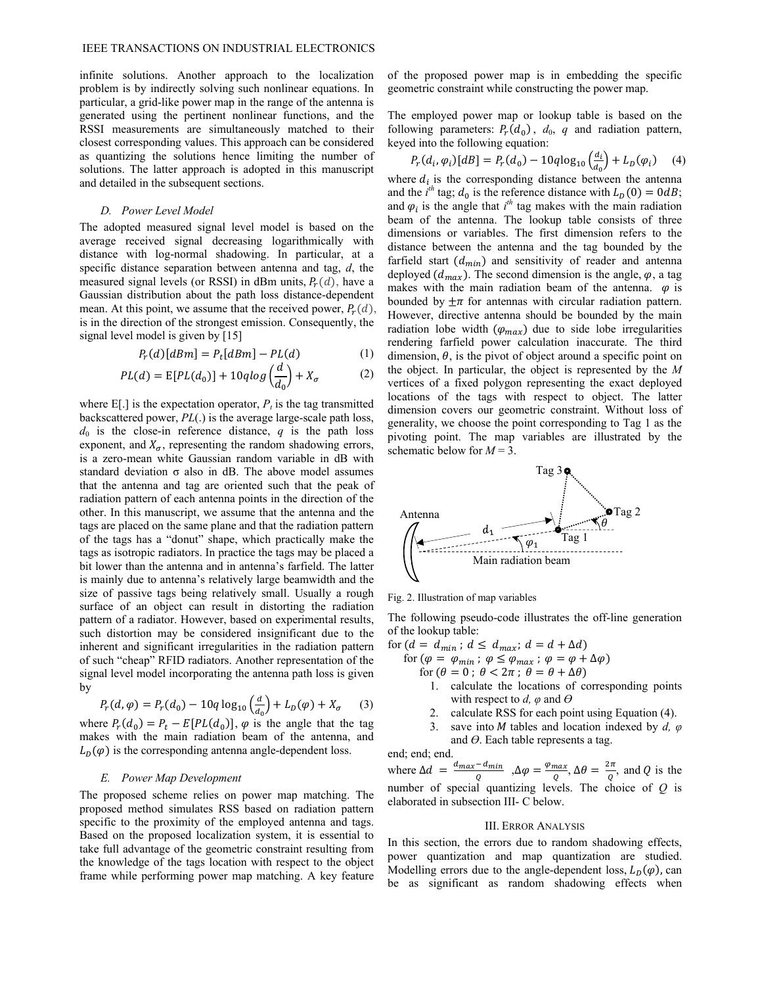infinite solutions. Another approach to the localization problem is by indirectly solving such nonlinear equations. In particular, a grid-like power map in the range of the antenna is generated using the pertinent nonlinear functions, and the RSSI measurements are simultaneously matched to their closest corresponding values. This approach can be considered as quantizing the solutions hence limiting the number of solutions. The latter approach is adopted in this manuscript and detailed in the subsequent sections.

## *D. Power Level Model*

The adopted measured signal level model is based on the average received signal decreasing logarithmically with distance with log-normal shadowing. In particular, at a specific distance separation between antenna and tag, *d*, the measured signal levels (or RSSI) in dBm units,  $P_r(d)$ , have a Gaussian distribution about the path loss distance-dependent mean. At this point, we assume that the received power,  $P_r(d)$ , is in the direction of the strongest emission. Consequently, the signal level model is given by [15]

$$
P_r(d)[dBm] = P_t[dBm] - PL(d)
$$
 (1)

$$
PL(d) = E[PL(d_0)] + 10qlog\left(\frac{d}{d_0}\right) + X_{\sigma}
$$
 (2)

where  $E[\cdot]$  is the expectation operator,  $P_t$  is the tag transmitted backscattered power, *PL*(.) is the average large-scale path loss,  $d_0$  is the close-in reference distance,  $q$  is the path loss exponent, and  $X_{\sigma}$ , representing the random shadowing errors, is a zero-mean white Gaussian random variable in dB with standard deviation  $\sigma$  also in dB. The above model assumes that the antenna and tag are oriented such that the peak of radiation pattern of each antenna points in the direction of the other. In this manuscript, we assume that the antenna and the tags are placed on the same plane and that the radiation pattern of the tags has a "donut" shape, which practically make the tags as isotropic radiators. In practice the tags may be placed a bit lower than the antenna and in antenna's farfield. The latter is mainly due to antenna's relatively large beamwidth and the size of passive tags being relatively small. Usually a rough surface of an object can result in distorting the radiation pattern of a radiator. However, based on experimental results, such distortion may be considered insignificant due to the inherent and significant irregularities in the radiation pattern of such "cheap" RFID radiators. Another representation of the signal level model incorporating the antenna path loss is given by

$$
P_r(d,\varphi) = P_r(d_0) - 10q \log_{10} \left(\frac{d}{d_0}\right) + L_D(\varphi) + X_\sigma \qquad (3)
$$

where  $P_r(d_0) = P_t - E[PL(d_0)], \varphi$  is the angle that the tag makes with the main radiation beam of the antenna, and  $L_{\text{D}}(\varphi)$  is the corresponding antenna angle-dependent loss.

# *E. Power Map Development*

The proposed scheme relies on power map matching. The proposed method simulates RSS based on radiation pattern specific to the proximity of the employed antenna and tags. Based on the proposed localization system, it is essential to take full advantage of the geometric constraint resulting from the knowledge of the tags location with respect to the object frame while performing power map matching. A key feature

of the proposed power map is in embedding the specific geometric constraint while constructing the power map.

The employed power map or lookup table is based on the following parameters:  $P_r(d_0)$ ,  $d_0$ , q and radiation pattern, keyed into the following equation:

$$
P_r(d_i, \varphi_i)[dB] = P_r(d_0) - 10q \log_{10} \left( \frac{d_i}{d_0} \right) + L_D(\varphi_i) \tag{4}
$$

where  $d_i$  is the corresponding distance between the antenna and the  $i^{th}$  tag;  $d_0$  is the reference distance with  $L_D(0) = 0 dB$ ; and  $\varphi_i$  is the angle that  $i^{th}$  tag makes with the main radiation beam of the antenna. The lookup table consists of three dimensions or variables. The first dimension refers to the distance between the antenna and the tag bounded by the farfield start  $(d_{min})$  and sensitivity of reader and antenna deployed  $(d_{max})$ . The second dimension is the angle,  $\varphi$ , a tag makes with the main radiation beam of the antenna.  $\varphi$  is bounded by  $\pm \pi$  for antennas with circular radiation pattern. However, directive antenna should be bounded by the main radiation lobe width  $(\varphi_{max})$  due to side lobe irregularities rendering farfield power calculation inaccurate. The third dimension,  $\theta$ , is the pivot of object around a specific point on the object. In particular, the object is represented by the *M* vertices of a fixed polygon representing the exact deployed locations of the tags with respect to object. The latter dimension covers our geometric constraint. Without loss of generality, we choose the point corresponding to Tag 1 as the pivoting point. The map variables are illustrated by the schematic below for  $M = 3$ .



Fig. 2. Illustration of map variables

The following pseudo-code illustrates the off-line generation of the lookup table:

- for  $(d = d_{min}$ ;  $d \leq d_{max}$ ;  $d = d + \Delta d$ 
	- for  $(\varphi = \varphi_{min} : \varphi \leq \varphi_{max} : \varphi = \varphi + \Delta \varphi)$ 
		- for  $(\theta = 0; \theta < 2\pi; \theta = \theta + \Delta\theta)$ 
			- 1. calculate the locations of corresponding points with respect to *d*,  $\varphi$  and  $\theta$
			- 2. calculate RSS for each point using Equation (4).
			- 3. save into ܯ tables and location indexed by *d, φ* and *ϴ*. Each table represents a tag.

end; end; end.

where  $\Delta d = \frac{d_{max} - d_{min}}{Q}$ ,  $\Delta \varphi = \frac{\varphi_{max}}{Q}$ ,  $\Delta \theta = \frac{2\pi}{Q}$ , and Q is the number of special quantizing levels. The choice of *Q* is elaborated in subsection III- C below.

# III. ERROR ANALYSIS

In this section, the errors due to random shadowing effects, power quantization and map quantization are studied. Modelling errors due to the angle-dependent loss,  $L_p(\varphi)$ , can be as significant as random shadowing effects when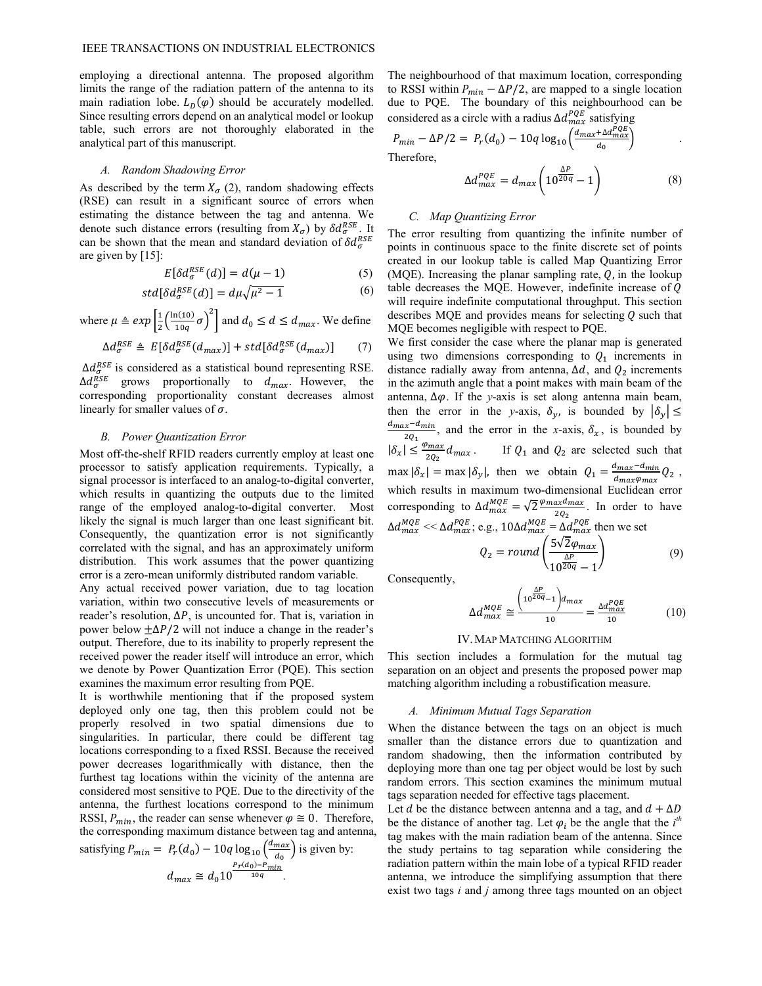employing a directional antenna. The proposed algorithm limits the range of the radiation pattern of the antenna to its main radiation lobe.  $L_D(\varphi)$  should be accurately modelled. Since resulting errors depend on an analytical model or lookup table, such errors are not thoroughly elaborated in the analytical part of this manuscript.

#### *A. Random Shadowing Error*

As described by the term  $X_{\sigma}$  (2), random shadowing effects (RSE) can result in a significant source of errors when estimating the distance between the tag and antenna. We denote such distance errors (resulting from  $X_{\sigma}$ ) by  $\delta d_{\sigma}^{RSE}$ . It can be shown that the mean and standard deviation of  $\delta d_{\sigma}^{RSE}$ are given by [15]:

$$
E[\delta d_{\sigma}^{RSE}(d)] = d(\mu - 1)
$$
 (5)

$$
std[\delta d_{\sigma}^{RSE}(d)] = d\mu \sqrt{\mu^2 - 1}
$$
 (6)

where  $\mu \triangleq exp\left[\frac{1}{2}\left(\frac{\ln(10)}{10q}\sigma\right)^2\right]$  and  $d_0 \leq d \leq d_{max}$ . We define

$$
\Delta d_{\sigma}^{RSE} \triangleq E[\delta d_{\sigma}^{RSE}(d_{max})] + std[\delta d_{\sigma}^{RSE}(d_{max})]
$$
 (7)

 $\Delta d_{\sigma}^{RSE}$  is considered as a statistical bound representing RSE.  $\Delta d_{\sigma}^{RSE}$  grows proportionally to  $d_{max}$ . However, the corresponding proportionality constant decreases almost linearly for smaller values of  $\sigma$ .

# *B. Power Quantization Error*

Most off-the-shelf RFID readers currently employ at least one processor to satisfy application requirements. Typically, a signal processor is interfaced to an analog-to-digital converter, which results in quantizing the outputs due to the limited range of the employed analog-to-digital converter. Most likely the signal is much larger than one least significant bit. Consequently, the quantization error is not significantly correlated with the signal, and has an approximately uniform distribution. This work assumes that the power quantizing error is a zero-mean uniformly distributed random variable.

Any actual received power variation, due to tag location variation, within two consecutive levels of measurements or reader's resolution,  $\Delta P$ , is uncounted for. That is, variation in power below  $\pm \Delta P/2$  will not induce a change in the reader's output. Therefore, due to its inability to properly represent the received power the reader itself will introduce an error, which we denote by Power Quantization Error (PQE). This section examines the maximum error resulting from PQE.

It is worthwhile mentioning that if the proposed system deployed only one tag, then this problem could not be properly resolved in two spatial dimensions due to singularities. In particular, there could be different tag locations corresponding to a fixed RSSI. Because the received power decreases logarithmically with distance, then the furthest tag locations within the vicinity of the antenna are considered most sensitive to PQE. Due to the directivity of the antenna, the furthest locations correspond to the minimum RSSI,  $P_{min}$ , the reader can sense whenever  $\varphi \cong 0$ . Therefore, the corresponding maximum distance between tag and antenna,

satisfying 
$$
P_{min} = P_r(d_0) - 10q \log_{10} \left( \frac{d_{max}}{d_0} \right)
$$
 is given by:  

$$
d_{max} \cong d_0 10^{\frac{P_r(d_0) - P_{min}}{10q}}.
$$

The neighbourhood of that maximum location, corresponding to RSSI within  $P_{min} - \Delta P/2$ , are mapped to a single location due to PQE. The boundary of this neighbourhood can be considered as a circle with a radius  $\Delta d_{max}^{PQE}$  satisfying

$$
P_{min} - \Delta P/2 = P_r(d_0) - 10q \log_{10} \left( \frac{d_{max} + \Delta d_{max}^{PQE}}{d_0} \right)
$$
  
Therefore,  

$$
\Delta P^{DE} = \frac{1}{\Delta Q_{max}^{PDE}} \left( \frac{\Delta P}{d_0} \right)
$$
 (9)

$$
\Delta d_{max}^{PQE} = d_{max} \left( 10^{\frac{\Delta P}{20q}} - 1 \right) \tag{8}
$$

#### *C. Map Quantizing Error*

The error resulting from quantizing the infinite number of points in continuous space to the finite discrete set of points created in our lookup table is called Map Quantizing Error (MQE). Increasing the planar sampling rate,  $Q$ , in the lookup table decreases the MQE. However, indefinite increase of  $Q$ will require indefinite computational throughput. This section describes MQE and provides means for selecting  $Q$  such that MQE becomes negligible with respect to PQE.

We first consider the case where the planar map is generated using two dimensions corresponding to  $Q_1$  increments in distance radially away from antenna,  $\Delta d$ , and  $Q_2$  increments in the azimuth angle that a point makes with main beam of the antenna,  $\Delta \varphi$ . If the *y*-axis is set along antenna main beam, then the error in the *y*-axis,  $\delta_{\nu}$ , is bounded by  $|\delta_{\nu}| \le$  $\frac{d_{max}-d_{min}}{20}$ , and the error in the *x*-axis,  $\delta_x$ , is bounded by  $|\delta_x| \leq \frac{\varphi_{max}}{2Q_2} d_{max}$ . If  $Q_1$  and  $Q_2$  are selected such that  $\max |\delta_x| = \max |\delta_y|$ , then we obtain  $Q_1 = \frac{d_{max} - d_{min}}{d_{max} \varphi_{max}} Q_2$ , which results in maximum two-dimensional Euclidean error corresponding to  $\Delta d_{max}^{MQE} = \sqrt{2} \frac{\varphi_{max} d_{max}}{2Q_2}$ . In order to have  $\Delta d_{max}^{MQE} \ll \Delta d_{max}^{PQE}$ ; e.g.,  $10 \Delta d_{max}^{MQE} = \Delta d_{max}^{PQE}$  then we set

$$
Q_2 = round\left(\frac{5\sqrt{2}\varphi_{max}}{10^{\frac{\Delta P}{20q}} - 1}\right) \tag{9}
$$

Consequently,

$$
\Delta d_{max}^{MQE} \cong \frac{\left(10^{\frac{\Delta P}{20q}}-1\right) d_{max}}{10} = \frac{\Delta d_{max}^{PQE}}{10} \tag{10}
$$

#### IV.MAP MATCHING ALGORITHM

This section includes a formulation for the mutual tag separation on an object and presents the proposed power map matching algorithm including a robustification measure.

#### *A. Minimum Mutual Tags Separation*

When the distance between the tags on an object is much smaller than the distance errors due to quantization and random shadowing, then the information contributed by deploying more than one tag per object would be lost by such random errors. This section examines the minimum mutual tags separation needed for effective tags placement.

Let *d* be the distance between antenna and a tag, and  $d + \Delta D$ be the distance of another tag. Let  $\varphi_i$  be the angle that the  $i^{th}$ tag makes with the main radiation beam of the antenna. Since the study pertains to tag separation while considering the radiation pattern within the main lobe of a typical RFID reader antenna, we introduce the simplifying assumption that there exist two tags *i* and *j* among three tags mounted on an object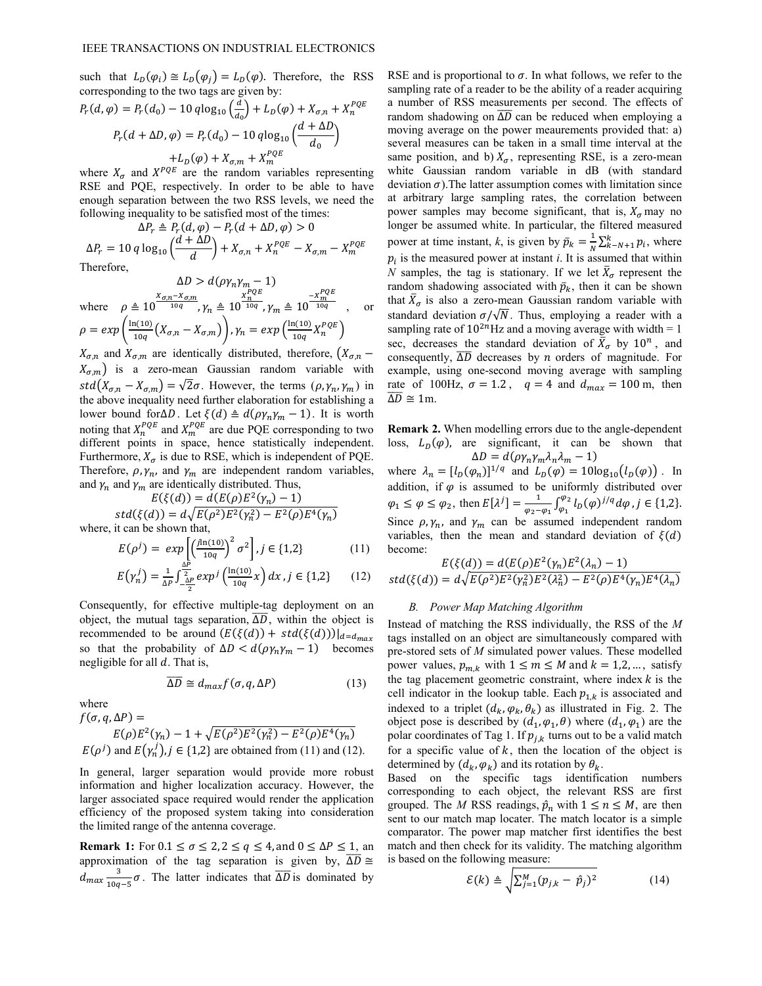such that  $L_D(\varphi_i) \cong L_D(\varphi_i) = L_D(\varphi)$ . Therefore, the RSS corresponding to the two tags are given by:

$$
P_r(d, \varphi) = P_r(d_0) - 10q \log_{10} \left(\frac{d}{d_0}\right) + L_D(\varphi) + X_{\sigma,n} + X_n^{PQE}
$$

$$
P_r(d + \Delta D, \varphi) = P_r(d_0) - 10q \log_{10} \left(\frac{d + \Delta D}{d_0}\right)
$$

$$
+ L_D(\varphi) + X_{\sigma,m} + X_m^{PQE}
$$

where  $X_{\sigma}$  and  $X^{PQE}$  are the random variables representing RSE and PQE, respectively. In order to be able to have enough separation between the two RSS levels, we need the following inequality to be satisfied most of the times:

$$
\Delta P_r \triangleq P_r(d, \varphi) - P_r(d + \Delta D, \varphi) > 0
$$
  

$$
\Delta P_r = 10 q \log_{10} \left( \frac{d + \Delta D}{d} \right) + X_{\sigma,n} + X_n^{PQE} - X_{\sigma,m} - X_m^{PQE}
$$

Therefore,

$$
\Delta D > d(\rho \gamma_n \gamma_m - 1)
$$
  
where  $\rho \triangleq 10^{\frac{X_{\sigma,n} - X_{\sigma,m}}{10q}}, \gamma_n \triangleq 10^{\frac{X_n^{PQE}}{10q}}, \gamma_m \triangleq 10^{\frac{-X_m^{PQE}}{10q}}$ , or  

$$
\rho = exp\left(\frac{\ln(10)}{10q} (X_{\sigma,n} - X_{\sigma,m})\right), \gamma_n = exp\left(\frac{\ln(10)}{10q} X_n^{PQE}\right)
$$

 $X_{\sigma,n}$  and  $X_{\sigma,m}$  are identically distributed, therefore,  $(X_{\sigma,n}$  –  $X_{\sigma,m}$ ) is a zero-mean Gaussian random variable with  $std(X_{\sigma,n} - X_{\sigma,m}) = \sqrt{2}\sigma$ . However, the terms  $(\rho, \gamma_n, \gamma_m)$  in the above inequality need further elaboration for establishing a lower bound for ΔD. Let  $\xi(d) \triangleq d(\rho \gamma_n \gamma_m - 1)$ . It is worth noting that  $X_n^{PQE}$  and  $X_m^{PQE}$  are due PQE corresponding to two different points in space, hence statistically independent. Furthermore,  $X_{\sigma}$  is due to RSE, which is independent of PQE. Therefore,  $\rho$ ,  $\gamma_n$ , and  $\gamma_m$  are independent random variables, and  $\gamma_n$  and  $\gamma_m$  are identically distributed. Thus,

$$
E(\xi(d)) = d(E(\rho)E^2(\gamma_n) - 1)
$$

 $std(\xi(d)) = d\sqrt{E(\rho^2)E^2(\gamma_n^2)} - E^2(\rho)E^4(\gamma_n)$ where, it can be shown that,

$$
E(\rho^j) = exp\left[\left(\frac{j\ln(10)}{10q}\right)^2 \sigma^2\right], j \in \{1, 2\}
$$
 (11)

$$
E(\gamma_n^j) = \frac{1}{\Delta P} \int_{-\frac{\Delta P}{2}}^{\frac{\Delta P}{2}} exp^j \left( \frac{\ln(10)}{10q} x \right) dx, j \in \{1, 2\} \tag{12}
$$

Consequently, for effective multiple-tag deployment on an object, the mutual tags separation,  $\overline{\Delta D}$ , within the object is recommended to be around  $(E(\xi(d)) + std(\xi(d)))|_{d=d_{max}}$ so that the probability of  $\Delta D < d(\rho \gamma_n \gamma_m - 1)$  becomes negligible for all  $d$ . That is,

$$
\overline{\Delta D} \cong d_{max} f(\sigma, q, \Delta P) \tag{13}
$$

where

$$
f(\sigma, q, \Delta P) =
$$
  
 
$$
E(\rho)E^{2}(\gamma_{n}) - 1 + \sqrt{E(\rho^{2})E^{2}(\gamma_{n}^{2}) - E^{2}(\rho)E^{4}(\gamma_{n})}
$$
  
 
$$
E(\rho^{j}) \text{ and } E(\gamma_{n}^{j}), j \in \{1, 2\} \text{ are obtained from (11) and (12).}
$$

In general, larger separation would provide more robust information and higher localization accuracy. However, the larger associated space required would render the application efficiency of the proposed system taking into consideration the limited range of the antenna coverage.

**Remark 1:** For  $0.1 \le \sigma \le 2$ ,  $2 \le q \le 4$ , and  $0 \le \Delta P \le 1$ , and approximation of the tag separation is given by,  $\overline{\Delta D} \cong$  $d_{max} \frac{3}{100}$  $\frac{3}{10q-5}\sigma$ . The latter indicates that  $\overline{\Delta D}$  is dominated by RSE and is proportional to  $\sigma$ . In what follows, we refer to the sampling rate of a reader to be the ability of a reader acquiring a number of RSS measurements per second. The effects of random shadowing on  $\overline{\Delta D}$  can be reduced when employing a moving average on the power meaurements provided that: a) several measures can be taken in a small time interval at the same position, and b)  $X_{\sigma}$ , representing RSE, is a zero-mean white Gaussian random variable in dB (with standard deviation  $\sigma$ ). The latter assumption comes with limitation since at arbitrary large sampling rates, the correlation between power samples may become significant, that is,  $X_{\sigma}$  may no longer be assumed white. In particular, the filtered measured power at time instant, *k*, is given by  $\bar{p}_k = \frac{1}{N} \sum_{k=N+1}^{N} p_i$  $k_{-N+1} p_i$ , where  $p_i$  is the measured power at instant  $i$ . It is assumed that within *N* samples, the tag is stationary. If we let  $\bar{X}_{\sigma}$  represent the random shadowing associated with  $\bar{p}_k$ , then it can be shown that  $\bar{X}_{\sigma}$  is also a zero-mean Gaussian random variable with standard deviation  $\sigma/\sqrt{N}$ . Thus, employing a reader with a sampling rate of  $10^{2n}$ Hz and a moving average with width = 1 sec, decreases the standard deviation of  $\bar{X}_{\sigma}$  by  $10^{n}$ , and consequently,  $\overline{\Delta D}$  decreases by *n* orders of magnitude. For example, using one-second moving average with sampling rate of 100Hz,  $\sigma = 1.2$ ,  $q = 4$  and  $d_{max} = 100$  m, then  $\overline{\Delta D} \cong 1$ m.

**Remark 2.** When modelling errors due to the angle-dependent loss,  $L_D(\varphi)$ , are significant, it can be shown that  $\Delta D = d(\rho \gamma_n \gamma_m \lambda_n \lambda_m - 1)$ 

where  $\lambda_n = [l_D(\varphi_n)]^{1/q}$  and  $L_D(\varphi) = 10\log_{10}(l_D(\varphi))$ . In addition, if  $\varphi$  is assumed to be uniformly distributed over  $\varphi_1 \le \varphi \le \varphi_2$ , then  $E[\lambda^j] = \frac{1}{\varphi_2 - \varphi_1} \int_{\varphi_1}^{\varphi_2} l_D(\varphi)^{j/q} d\varphi$ ,  $j \in \{1, 2\}$ . Since  $\rho$ ,  $\gamma_n$ , and  $\gamma_m$  can be assumed independent random variables, then the mean and standard deviation of  $\xi(d)$ become:  $\Gamma$ ( $\zeta$ ( $\zeta$ ) $\zeta$  )  $\zeta$  )  $\zeta$  = 1( $\zeta$ )  $\zeta$  = 1( $\zeta$ )  $\zeta$  = 17(1)

$$
E(\xi(d)) = d(E(\rho)E^{2}(\gamma_{n})E^{2}(\lambda_{n}) - 1)
$$
  
std(\xi(d)) =  $d\sqrt{E(\rho^{2})E^{2}(\gamma_{n}^{2})E^{2}(\lambda_{n}^{2}) - E^{2}(\rho)E^{4}(\gamma_{n})E^{4}(\lambda_{n})}$ 

# *B. Power Map Matching Algorithm*

Instead of matching the RSS individually, the RSS of the *M* tags installed on an object are simultaneously compared with pre-stored sets of *M* simulated power values. These modelled power values,  $p_{m,k}$  with  $1 \le m \le M$  and  $k = 1,2,...$ , satisfy the tag placement geometric constraint, where index  $k$  is the cell indicator in the lookup table. Each  $p_{1,k}$  is associated and indexed to a triplet  $(d_k, \varphi_k, \theta_k)$  as illustrated in Fig. 2. The object pose is described by  $(d_1, \varphi_1, \theta)$  where  $(d_1, \varphi_1)$  are the polar coordinates of Tag 1. If  $p_{i,k}$  turns out to be a valid match for a specific value of  $k$ , then the location of the object is determined by  $(d_k, \varphi_k)$  and its rotation by  $\theta_k$ .

Based on the specific tags identification numbers corresponding to each object, the relevant RSS are first grouped. The *M* RSS readings,  $\hat{p}_n$  with  $1 \le n \le M$ , are then sent to our match map locater. The match locator is a simple comparator. The power map matcher first identifies the best match and then check for its validity. The matching algorithm is based on the following measure:

$$
\mathcal{E}(k) \triangleq \sqrt{\sum_{j=1}^{M} (p_{j,k} - \hat{p}_j)^2}
$$
 (14)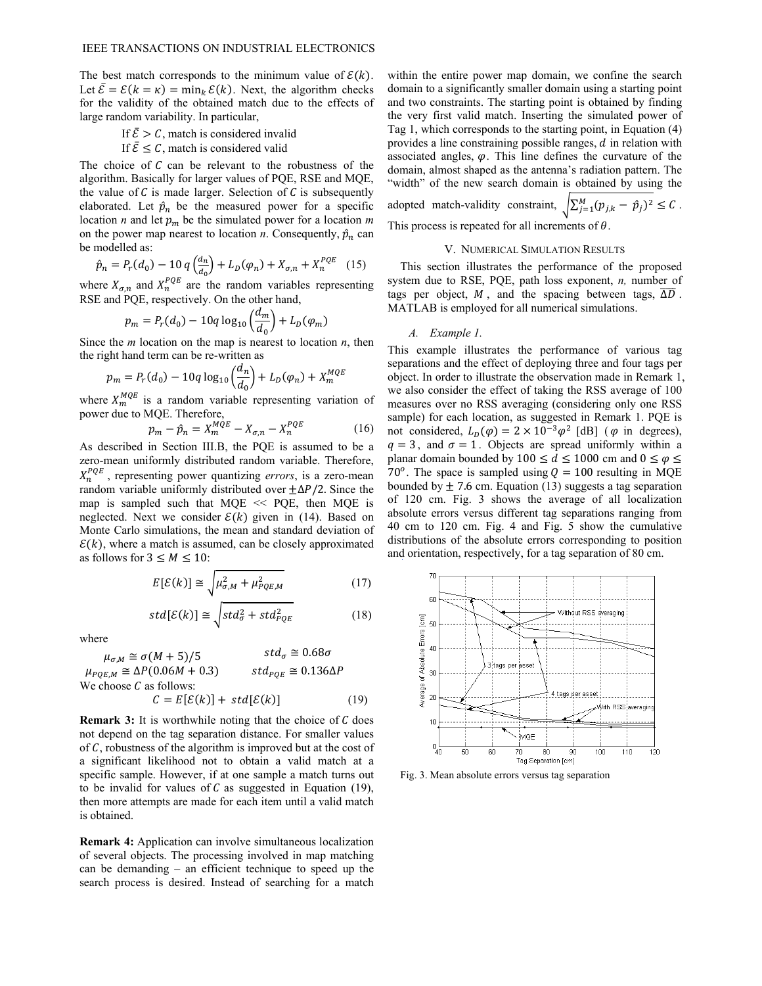The best match corresponds to the minimum value of  $\mathcal{E}(k)$ . Let  $\bar{\mathcal{E}} = \mathcal{E}(k = \kappa) = \min_k \mathcal{E}(k)$ . Next, the algorithm checks for the validity of the obtained match due to the effects of large random variability. In particular,

# If  $\bar{\mathcal{E}} > \mathcal{C}$ , match is considered invalid

If  $\bar{\mathcal{E}} \leq \mathcal{C}$ , match is considered valid

The choice of  $C$  can be relevant to the robustness of the algorithm. Basically for larger values of PQE, RSE and MQE, the value of  $C$  is made larger. Selection of  $C$  is subsequently elaborated. Let  $\hat{p}_n$  be the measured power for a specific location *n* and let  $p_m$  be the simulated power for a location *m* on the power map nearest to location  $n$ . Consequently,  $\hat{p}_n$  can be modelled as:

$$
\hat{p}_n = P_r(d_0) - 10 q \left(\frac{d_n}{d_0}\right) + L_D(\varphi_n) + X_{\sigma,n} + X_n^{PQE} \tag{15}
$$

where  $X_{\sigma,n}$  and  $X_n^{PQE}$  are the random variables representing RSE and PQE, respectively. On the other hand,

$$
p_m = P_r(d_0) - 10q \log_{10} \left(\frac{d_m}{d_0}\right) + L_D(\varphi_m)
$$

Since the *m* location on the map is nearest to location *n*, then the right hand term can be re-written as

$$
p_m = P_r(d_0) - 10q \log_{10} \left(\frac{d_n}{d_0}\right) + L_D(\varphi_n) + X_m^{MQE}
$$

where  $X_m^{MQE}$  is a random variable representing variation of power due to MQE. Therefore,

$$
p_m - \hat{p}_n = X_m^{MQE} - X_{\sigma,n} - X_n^{PQE} \tag{16}
$$

As described in Section III.B, the PQE is assumed to be a zero-mean uniformly distributed random variable. Therefore,  $X_n^{PQE}$ , representing power quantizing *errors*, is a zero-mean random variable uniformly distributed over  $\pm \Delta P/2$ . Since the map is sampled such that  $MQE \ll PQE$ , then  $MQE$  is neglected. Next we consider  $\mathcal{E}(k)$  given in (14). Based on Monte Carlo simulations, the mean and standard deviation of  $\mathcal{E}(k)$ , where a match is assumed, can be closely approximated as follows for  $3 \leq M \leq 10$ :

$$
E[\mathcal{E}(k)] \cong \sqrt{\mu_{\sigma,M}^2 + \mu_{PQE,M}^2} \tag{17}
$$

$$
std[\mathcal{E}(k)] \cong \sqrt{std_{\sigma}^2 + std_{PQE}^2}
$$
 (18)

where

 $std_{\sigma} \cong 0.68 \sigma$  $\mu_{\sigma,M} \cong \sigma(M+5)/5$  std<sub>o</sub>  $\mu_{POE,M} \cong \Delta P(0.06M + 0.3)$   $std_{POE} \cong 0.136\Delta P$ We choose  $C$  as follows:

$$
C = E[\mathcal{E}(k)] + std[\mathcal{E}(k)] \tag{19}
$$

**Remark 3:** It is worthwhile noting that the choice of  $C$  does not depend on the tag separation distance. For smaller values of  $C$ , robustness of the algorithm is improved but at the cost of a significant likelihood not to obtain a valid match at a specific sample. However, if at one sample a match turns out to be invalid for values of  $C$  as suggested in Equation (19), then more attempts are made for each item until a valid match is obtained.

**Remark 4:** Application can involve simultaneous localization of several objects. The processing involved in map matching can be demanding – an efficient technique to speed up the search process is desired. Instead of searching for a match

within the entire power map domain, we confine the search domain to a significantly smaller domain using a starting point and two constraints. The starting point is obtained by finding the very first valid match. Inserting the simulated power of Tag 1, which corresponds to the starting point, in Equation (4) provides a line constraining possible ranges,  $d$  in relation with associated angles,  $\varphi$ . This line defines the curvature of the domain, almost shaped as the antenna's radiation pattern. The "width" of the new search domain is obtained by using the

adopted match-validation constraint, 
$$
\sqrt{\sum_{j=1}^{M} (p_{j,k} - \hat{p}_j)^2} \leq C
$$
. This process is repeated for all increments of  $\theta$ .

#### V. NUMERICAL SIMULATION RESULTS

This section illustrates the performance of the proposed system due to RSE, PQE, path loss exponent, *n,* number of tags per object,  $M$ , and the spacing between tags,  $\overline{\Delta D}$ . MATLAB is employed for all numerical simulations.

#### *A. Example 1.*

This example illustrates the performance of various tag separations and the effect of deploying three and four tags per object. In order to illustrate the observation made in Remark 1, we also consider the effect of taking the RSS average of 100 measures over no RSS averaging (considering only one RSS sample) for each location, as suggested in Remark 1. PQE is not considered,  $L_D(\varphi) = 2 \times 10^{-3} \varphi^2$  [dB] ( $\varphi$  in degrees),  $q = 3$ , and  $\sigma = 1$ . Objects are spread uniformly within a planar domain bounded by 100  $\leq d \leq$  1000 cm and  $0 \leq \varphi \leq$ 70<sup>o</sup>. The space is sampled using  $Q = 100$  resulting in MQE bounded by  $\pm$  7.6 cm. Equation (13) suggests a tag separation of 120 cm. Fig. 3 shows the average of all localization absolute errors versus different tag separations ranging from 40 cm to 120 cm. Fig. 4 and Fig. 5 show the cumulative distributions of the absolute errors corresponding to position and orientation, respectively, for a tag separation of 80 cm.



Fig. 3. Mean absolute errors versus tag separation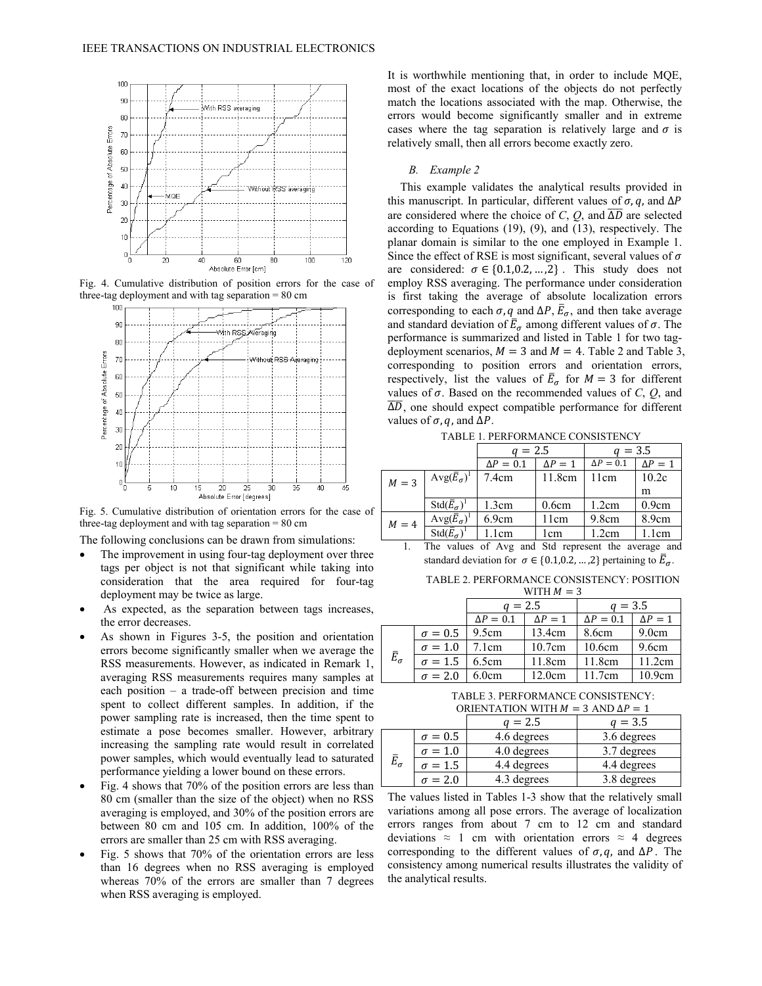

Fig. 4. Cumulative distribution of position errors for the case of three-tag deployment and with tag separation  $= 80$  cm



Fig. 5. Cumulative distribution of orientation errors for the case of three-tag deployment and with tag separation  $= 80$  cm

The following conclusions can be drawn from simulations:

- The improvement in using four-tag deployment over three tags per object is not that significant while taking into consideration that the area required for four-tag deployment may be twice as large.
- As expected, as the separation between tags increases, the error decreases.
- As shown in Figures 3-5, the position and orientation errors become significantly smaller when we average the RSS measurements. However, as indicated in Remark 1, averaging RSS measurements requires many samples at each position – a trade-off between precision and time spent to collect different samples. In addition, if the power sampling rate is increased, then the time spent to estimate a pose becomes smaller. However, arbitrary increasing the sampling rate would result in correlated power samples, which would eventually lead to saturated performance yielding a lower bound on these errors.
- Fig. 4 shows that 70% of the position errors are less than 80 cm (smaller than the size of the object) when no RSS averaging is employed, and 30% of the position errors are between 80 cm and 105 cm. In addition, 100% of the errors are smaller than 25 cm with RSS averaging.
- Fig. 5 shows that 70% of the orientation errors are less than 16 degrees when no RSS averaging is employed whereas 70% of the errors are smaller than 7 degrees when RSS averaging is employed.

It is worthwhile mentioning that, in order to include MQE, most of the exact locations of the objects do not perfectly match the locations associated with the map. Otherwise, the errors would become significantly smaller and in extreme cases where the tag separation is relatively large and  $\sigma$  is relatively small, then all errors become exactly zero.

#### *B. Example 2*

This example validates the analytical results provided in this manuscript. In particular, different values of  $\sigma$ ,  $q$ , and  $\Delta P$ are considered where the choice of *C*,  $Q$ , and  $\overline{\Delta D}$  are selected according to Equations (19), (9), and (13), respectively. The planar domain is similar to the one employed in Example 1. Since the effect of RSE is most significant, several values of  $\sigma$ are considered:  $\sigma \in \{0.1, 0.2, ..., 2\}$ . This study does not employ RSS averaging. The performance under consideration is first taking the average of absolute localization errors corresponding to each  $\sigma$ ,  $q$  and  $\Delta P$ ,  $\overline{E}_{\sigma}$ , and then take average and standard deviation of  $\bar{E}_{\sigma}$  among different values of  $\sigma$ . The performance is summarized and listed in Table 1 for two tagdeployment scenarios,  $M = 3$  and  $M = 4$ . Table 2 and Table 3, corresponding to position errors and orientation errors, respectively, list the values of  $\bar{E}_{\sigma}$  for  $M = 3$  for different values of  $\sigma$ . Based on the recommended values of  $C$ ,  $Q$ , and  $\overline{\Delta D}$ , one should expect compatible performance for different values of  $\sigma$ ,  $q$ , and  $\Delta P$ .

TABLE 1. PERFORMANCE CONSISTENCY

|         |                                       | $a = 2.5$        |          | $q = 3.5$        |          |  |
|---------|---------------------------------------|------------------|----------|------------------|----------|--|
|         |                                       | $\Delta P = 0.1$ | $AP = 1$ | $\Delta P = 0.1$ | $AP = 1$ |  |
| $M = 3$ | $Avg(E_{\sigma})^{\perp}$             | 7.4cm            | 11.8cm   | 11cm             | 10.2c    |  |
|         |                                       |                  |          |                  | m        |  |
|         | $\text{Std}(\overline{E}_{\sigma})^1$ | 1.3cm            | 0.6cm    | 1.2cm            | 0.9cm    |  |
| $M = 4$ | $Avg(\bar{E}_{\sigma})$               | 6.9cm            | 11cm     | 9.8cm            | 8.9cm    |  |
|         | $\text{Std}(\overline{E}_{\sigma})^1$ | 1 <sub>cm</sub>  | l cm     | 1.2cm            | 1.1cm    |  |

1. The values of Avg and Std represent the average and standard deviation for  $\sigma \in \{0.1, 0.2, ..., 2\}$  pertaining to  $\overline{E}_{\sigma}$ .

TABLE 2. PERFORMANCE CONSISTENCY: POSITION

|                    |                | WITH $M = 3$     |                |                  |          |  |  |
|--------------------|----------------|------------------|----------------|------------------|----------|--|--|
|                    |                | $a = 2.5$        |                | $a = 3.5$        |          |  |  |
|                    |                | $\Delta P = 0.1$ | $\Delta P = 1$ | $\Delta P = 0.1$ | $AP = 1$ |  |  |
|                    | $\sigma = 0.5$ | 9.5cm            | 13.4cm         | 8.6cm            | 9.0cm    |  |  |
|                    | $\sigma = 1.0$ | 7.1cm            | 10.7cm         | 10.6cm           | 9.6cm    |  |  |
| $\bar{E}_{\sigma}$ | $\sigma = 1.5$ | 6.5cm            | 11.8cm         | 11.8cm           | 11.2cm   |  |  |
|                    | $\sigma = 2.0$ | 6.0cm            | 12.0cm         | 11.7cm           | 10.9cm   |  |  |

TABLE 3. PERFORMANCE CONSISTENCY: ORIENTATION WITH  $M = 3$  AND  $\Delta P = 1$ 

|                    |                | $= 2.5$     | $q = 3.5$   |
|--------------------|----------------|-------------|-------------|
|                    | $\sigma = 0.5$ | 4.6 degrees | 3.6 degrees |
|                    | $\sigma = 1.0$ | 4.0 degrees | 3.7 degrees |
| $\bar{E}_{\sigma}$ | $\sigma = 1.5$ | 4.4 degrees | 4.4 degrees |
|                    | $\sigma = 2.0$ | 4.3 degrees | 3.8 degrees |

The values listed in Tables 1-3 show that the relatively small variations among all pose errors. The average of localization errors ranges from about 7 cm to 12 cm and standard deviations  $\approx$  1 cm with orientation errors  $\approx$  4 degrees corresponding to the different values of  $\sigma$ , q, and  $\Delta P$ . The consistency among numerical results illustrates the validity of the analytical results.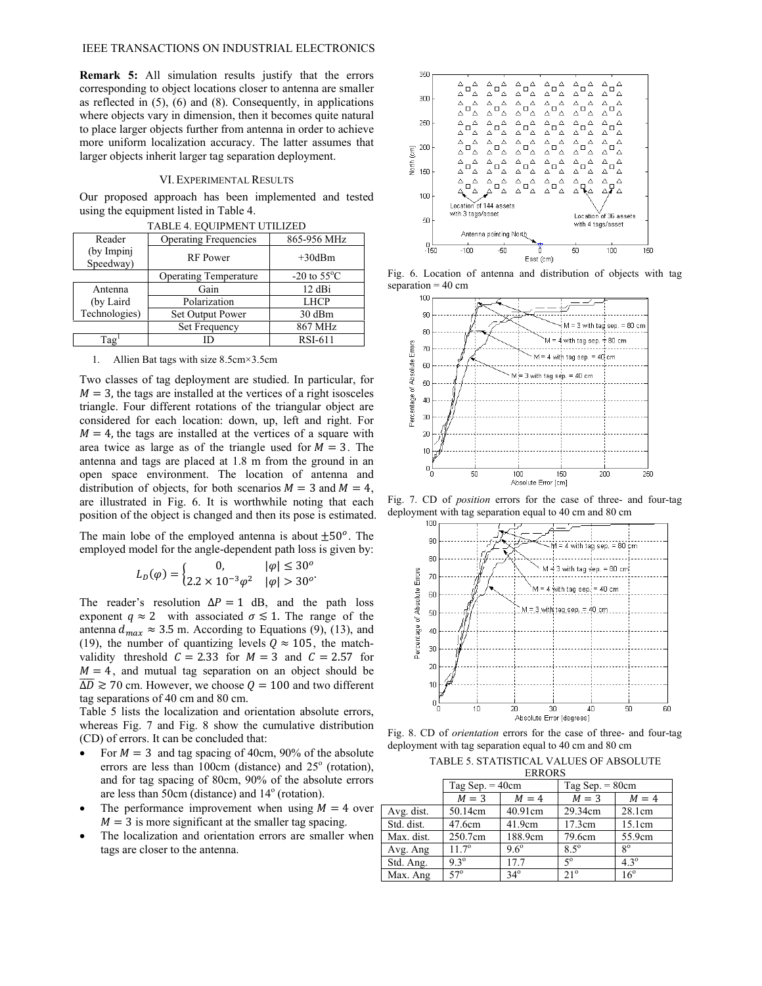**Remark 5:** All simulation results justify that the errors corresponding to object locations closer to antenna are smaller as reflected in (5), (6) and (8). Consequently, in applications where objects vary in dimension, then it becomes quite natural to place larger objects further from antenna in order to achieve more uniform localization accuracy. The latter assumes that larger objects inherit larger tag separation deployment.

#### VI.EXPERIMENTAL RESULTS

Our proposed approach has been implemented and tested using the equipment listed in Table 4. TA BLE 4. EQUIDMENT

| TABLE 4. EQUIPMENT UTILIZED |                              |                         |  |  |  |  |
|-----------------------------|------------------------------|-------------------------|--|--|--|--|
| Reader                      | <b>Operating Frequencies</b> | 865-956 MHz             |  |  |  |  |
| (by Impinj<br>Speedway)     | <b>RF</b> Power              | $+30$ dBm               |  |  |  |  |
|                             | <b>Operating Temperature</b> | $-20$ to $55^{\circ}$ C |  |  |  |  |
| Antenna                     | Gain                         | 12 dBi                  |  |  |  |  |
| (by Laird)                  | Polarization                 | <b>LHCP</b>             |  |  |  |  |
| Technologies)               | Set Output Power             | 30 dBm                  |  |  |  |  |
|                             | Set Frequency                | 867 MHz                 |  |  |  |  |
| Tag <sup>1</sup>            |                              | <b>RSI-611</b>          |  |  |  |  |

1. Allien Bat tags with size 8.5cm×3.5cm

Two classes of tag deployment are studied. In particular, for  $M = 3$ , the tags are installed at the vertices of a right isosceles triangle. Four different rotations of the triangular object are considered for each location: down, up, left and right. For  $M = 4$ , the tags are installed at the vertices of a square with area twice as large as of the triangle used for  $M = 3$ . The antenna and tags are placed at 1.8 m from the ground in an open space environment. The location of antenna and distribution of objects, for both scenarios  $M = 3$  and  $M = 4$ , are illustrated in Fig. 6. It is worthwhile noting that each position of the object is changed and then its pose is estimated.

The main lobe of the employed antenna is about  $\pm 50^\circ$ . The employed model for the angle-dependent path loss is given by:

$$
L_D(\varphi) = \begin{cases} 0, & |\varphi| \le 30^o \\ 2.2 \times 10^{-3} \varphi^2 & |\varphi| > 30^o \end{cases}
$$

The reader's resolution  $\Delta P = 1$  dB, and the path loss exponent  $q \approx 2$  with associated  $\sigma \lesssim 1$ . The range of the antenna  $d_{max} \approx 3.5$  m. According to Equations (9), (13), and (19), the number of quantizing levels  $Q \approx 105$ , the matchvalidity threshold  $C = 2.33$  for  $M = 3$  and  $C = 2.57$  for  $M = 4$ , and mutual tag separation on an object should be  $\overline{\Delta D} \gtrsim 70$  cm. However, we choose  $Q = 100$  and two different tag separations of 40 cm and 80 cm.

Table 5 lists the localization and orientation absolute errors, whereas Fig. 7 and Fig. 8 show the cumulative distribution (CD) of errors. It can be concluded that:

- For  $M = 3$  and tag spacing of 40cm, 90% of the absolute errors are less than  $100 \text{cm}$  (distance) and  $25^\circ$  (rotation), and for tag spacing of 80cm, 90% of the absolute errors are less than 50cm (distance) and 14<sup>°</sup> (rotation).
- The performance improvement when using  $M = 4$  over  $M = 3$  is more significant at the smaller tag spacing.
- The localization and orientation errors are smaller when tags are closer to the antenna.



Fig. 6. Location of antenna and distribution of objects with tag separation  $= 40$  cm



Fig. 7. CD of *position* errors for the case of three- and four-tag deployment with tag separation equal to 40 cm and 80 cm



Fig. 8. CD of *orientation* errors for the case of three- and four-tag deployment with tag separation equal to 40 cm and 80 cm

| TABLE 5. STATISTICAL VALUES OF ABSOLUTE |
|-----------------------------------------|
| <b>ERRORS</b>                           |

|            | LIMMUND           |               |                   |               |  |  |  |
|------------|-------------------|---------------|-------------------|---------------|--|--|--|
|            | Tag Sep. $=$ 40cm |               | Tag Sep. $= 80cm$ |               |  |  |  |
|            | $M = 3$           | $M = 4$       | $M = 3$           | $M = 4$       |  |  |  |
| Avg. dist. | 50.14cm           | 40.91cm       | 29.34cm           | 28.1cm        |  |  |  |
| Std. dist. | 47.6cm            | 41.9cm        | 17.3cm            | 15.1cm        |  |  |  |
| Max. dist. | 250.7cm           | 188.9cm       | 79.6cm            | 55.9cm        |  |  |  |
| Avg. Ang   | $11.7^{\circ}$    | $9.6^{\circ}$ | $8.5^\circ$       | $8^{\circ}$   |  |  |  |
| Std. Ang.  | $9.3^{\circ}$     | 17.7          | $5^{\circ}$       | $4.3^{\circ}$ |  |  |  |
| Max. Ang   | $57^\circ$        | $34^\circ$    | $21^\circ$        | $16^{\circ}$  |  |  |  |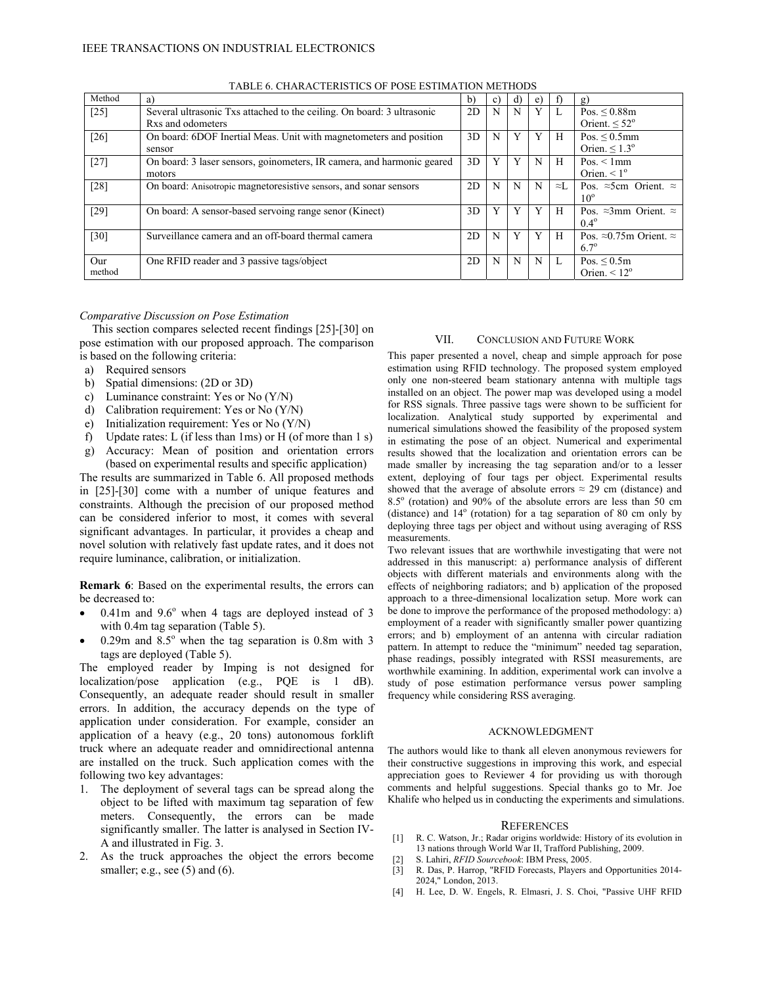| Method | a)                                                                     | b) | $\mathbf{c}$ | d) | e) | $\lceil$     | g)                                      |
|--------|------------------------------------------------------------------------|----|--------------|----|----|--------------|-----------------------------------------|
| $[25]$ | Several ultrasonic Txs attached to the ceiling. On board: 3 ultrasonic | 2D | N            | N  | Y  | L            | Pos. < 0.88m                            |
|        | Rxs and odometers                                                      |    |              |    |    |              | Orient. $\leq 52^{\circ}$               |
| $[26]$ | On board: 6DOF Inertial Meas. Unit with magnetometers and position     | 3D | N            | Y  | Y  | H            | Pos. $\leq 0.5$ mm                      |
|        | sensor                                                                 |    |              |    |    |              | Orien. $\leq 1.3^{\circ}$               |
| $[27]$ | On board: 3 laser sensors, goinometers, IR camera, and harmonic geared | 3D |              | Y  | N  | H            | Pos. $\leq$ 1mm                         |
|        | motors                                                                 |    |              |    |    |              | Orien. $\leq 1^{\circ}$                 |
| $[28]$ | On board: Anisotropic magnetoresistive sensors, and sonar sensors      | 2D | N            | N  | N  | $\approx L$  | Pos. $\approx$ 5cm Orient. $\approx$    |
|        |                                                                        |    |              |    |    |              | $10^{\circ}$                            |
| $[29]$ | On board: A sensor-based servoing range senor (Kinect)                 | 3D |              | Y  | Y  | H            | Pos. $\approx$ 3mm Orient. $\approx$    |
|        |                                                                        |    |              |    |    |              | $0.4^{\circ}$                           |
| $[30]$ | Surveillance camera and an off-board thermal camera                    | 2D | N            | Y  | Y  | H            | Pos. $\approx 0.75$ m Orient. $\approx$ |
|        |                                                                        |    |              |    |    |              | $6.7^{\circ}$                           |
| Our    | One RFID reader and 3 passive tags/object                              | 2D | N            | N  | N  | $\mathbf{L}$ | Pos. $\leq 0.5m$                        |
| method |                                                                        |    |              |    |    |              | Orien. $\leq 12^{\circ}$                |

TABLE 6. CHARACTERISTICS OF POSE ESTIMATION METHODS

# *Comparative Discussion on Pose Estimation*

This section compares selected recent findings [25]-[30] on pose estimation with our proposed approach. The comparison is based on the following criteria:

- a) Required sensors
- b) Spatial dimensions: (2D or 3D)
- c) Luminance constraint: Yes or No (Y/N)
- d) Calibration requirement: Yes or No (Y/N)
- e) Initialization requirement: Yes or No (Y/N)
- f) Update rates: L (if less than 1ms) or H (of more than 1 s)
- g) Accuracy: Mean of position and orientation errors (based on experimental results and specific application)

The results are summarized in Table 6. All proposed methods in [25]-[30] come with a number of unique features and constraints. Although the precision of our proposed method can be considered inferior to most, it comes with several significant advantages. In particular, it provides a cheap and novel solution with relatively fast update rates, and it does not require luminance, calibration, or initialization.

**Remark 6**: Based on the experimental results, the errors can be decreased to:

- $\bullet$  0.41m and 9.6° when 4 tags are deployed instead of 3 with 0.4m tag separation (Table 5).
- $\bullet$  0.29m and 8.5° when the tag separation is 0.8m with 3 tags are deployed (Table 5).

The employed reader by Imping is not designed for localization/pose application (e.g., PQE is 1 dB). Consequently, an adequate reader should result in smaller errors. In addition, the accuracy depends on the type of application under consideration. For example, consider an application of a heavy (e.g., 20 tons) autonomous forklift truck where an adequate reader and omnidirectional antenna are installed on the truck. Such application comes with the following two key advantages:

- 1. The deployment of several tags can be spread along the object to be lifted with maximum tag separation of few meters. Consequently, the errors can be made significantly smaller. The latter is analysed in Section IV-A and illustrated in Fig. 3.
- 2. As the truck approaches the object the errors become smaller; e.g., see  $(5)$  and  $(6)$ .

# VII. CONCLUSION AND FUTURE WORK

This paper presented a novel, cheap and simple approach for pose estimation using RFID technology. The proposed system employed only one non-steered beam stationary antenna with multiple tags installed on an object. The power map was developed using a model for RSS signals. Three passive tags were shown to be sufficient for localization. Analytical study supported by experimental and numerical simulations showed the feasibility of the proposed system in estimating the pose of an object. Numerical and experimental results showed that the localization and orientation errors can be made smaller by increasing the tag separation and/or to a lesser extent, deploying of four tags per object. Experimental results showed that the average of absolute errors  $\approx$  29 cm (distance) and  $8.5^\circ$  (rotation) and  $90\%$  of the absolute errors are less than 50 cm (distance) and  $14^{\circ}$  (rotation) for a tag separation of 80 cm only by deploying three tags per object and without using averaging of RSS measurements.

Two relevant issues that are worthwhile investigating that were not addressed in this manuscript: a) performance analysis of different objects with different materials and environments along with the effects of neighboring radiators; and b) application of the proposed approach to a three-dimensional localization setup. More work can be done to improve the performance of the proposed methodology: a) employment of a reader with significantly smaller power quantizing errors; and b) employment of an antenna with circular radiation pattern. In attempt to reduce the "minimum" needed tag separation, phase readings, possibly integrated with RSSI measurements, are worthwhile examining. In addition, experimental work can involve a study of pose estimation performance versus power sampling frequency while considering RSS averaging.

#### ACKNOWLEDGMENT

The authors would like to thank all eleven anonymous reviewers for their constructive suggestions in improving this work, and especial appreciation goes to Reviewer 4 for providing us with thorough comments and helpful suggestions. Special thanks go to Mr. Joe Khalife who helped us in conducting the experiments and simulations.

#### REFERENCES

- [1] R. C. Watson, Jr.; Radar origins worldwide: History of its evolution in 13 nations through World War II, Trafford Publishing, 2009.
- [2] S. Lahiri, *RFID Sourcebook*: IBM Press, 2005.
- [3] R. Das, P. Harrop, "RFID Forecasts, Players and Opportunities 2014- 2024," London, 2013.
- [4] H. Lee, D. W. Engels, R. Elmasri, J. S. Choi, "Passive UHF RFID